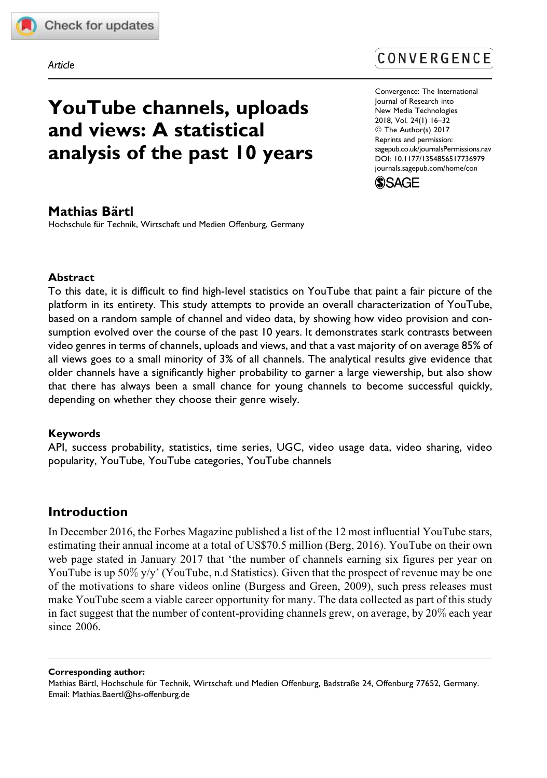

Article

# YouTube channels, uploads and views: A statistical analysis of the past 10 years

## Mathias Bärtl

Hochschule für Technik, Wirtschaft und Medien Offenburg, Germany

## CONVERGENCE

Convergence: The International Journal of Research into New Media Technologies 2018, Vol. 24(1) 16–32 © The Author(s) 2017 Reprints and permission: [sagepub.co.uk/journalsPermissions.nav](https://uk.sagepub.com/en-gb/journals-permissions) [DOI: 10.1177/1354856517736979](https://doi.org/10.1177/1354856517736979) [journals.sagepub.com/home/con](http://journals.sagepub.com/home/con)



## Abstract

To this date, it is difficult to find high-level statistics on YouTube that paint a fair picture of the platform in its entirety. This study attempts to provide an overall characterization of YouTube, based on a random sample of channel and video data, by showing how video provision and consumption evolved over the course of the past 10 years. It demonstrates stark contrasts between video genres in terms of channels, uploads and views, and that a vast majority of on average 85% of all views goes to a small minority of 3% of all channels. The analytical results give evidence that older channels have a significantly higher probability to garner a large viewership, but also show that there has always been a small chance for young channels to become successful quickly, depending on whether they choose their genre wisely.

#### Keywords

API, success probability, statistics, time series, UGC, video usage data, video sharing, video popularity, YouTube, YouTube categories, YouTube channels

## Introduction

In December 2016, the Forbes Magazine published a list of the 12 most influential YouTube stars, estimating their annual income at a total of US\$70.5 million (Berg, 2016). YouTube on their own web page stated in January 2017 that 'the number of channels earning six figures per year on YouTube is up 50% y/y' (YouTube, n.d Statistics). Given that the prospect of revenue may be one of the motivations to share videos online (Burgess and Green, 2009), such press releases must make YouTube seem a viable career opportunity for many. The data collected as part of this study in fact suggest that the number of content-providing channels grew, on average, by 20% each year since 2006.

Corresponding author:

Mathias Bärtl, Hochschule für Technik, Wirtschaft und Medien Offenburg, Badstraße 24, Offenburg 77652, Germany. Email: Mathias.Baertl@hs-offenburg.de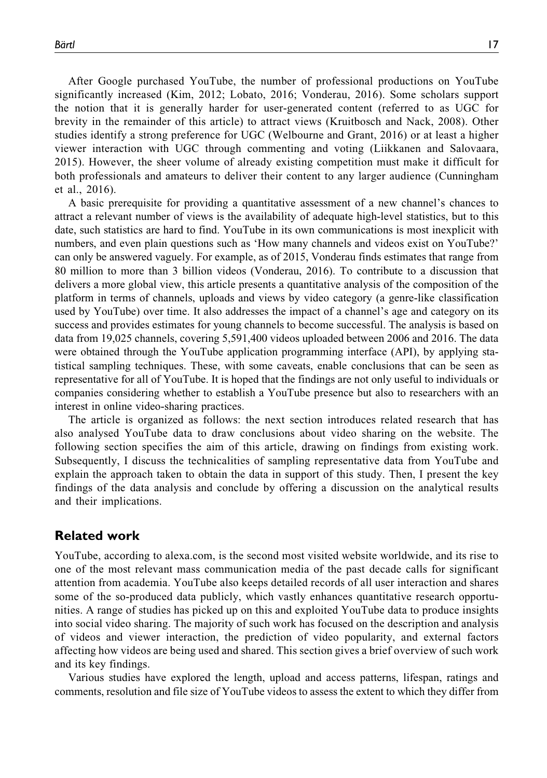After Google purchased YouTube, the number of professional productions on YouTube significantly increased (Kim, 2012; Lobato, 2016; Vonderau, 2016). Some scholars support the notion that it is generally harder for user-generated content (referred to as UGC for brevity in the remainder of this article) to attract views (Kruitbosch and Nack, 2008). Other studies identify a strong preference for UGC (Welbourne and Grant, 2016) or at least a higher viewer interaction with UGC through commenting and voting (Liikkanen and Salovaara, 2015). However, the sheer volume of already existing competition must make it difficult for both professionals and amateurs to deliver their content to any larger audience (Cunningham et al., 2016).

A basic prerequisite for providing a quantitative assessment of a new channel's chances to attract a relevant number of views is the availability of adequate high-level statistics, but to this date, such statistics are hard to find. YouTube in its own communications is most inexplicit with numbers, and even plain questions such as 'How many channels and videos exist on YouTube?' can only be answered vaguely. For example, as of 2015, Vonderau finds estimates that range from 80 million to more than 3 billion videos (Vonderau, 2016). To contribute to a discussion that delivers a more global view, this article presents a quantitative analysis of the composition of the platform in terms of channels, uploads and views by video category (a genre-like classification used by YouTube) over time. It also addresses the impact of a channel's age and category on its success and provides estimates for young channels to become successful. The analysis is based on data from 19,025 channels, covering 5,591,400 videos uploaded between 2006 and 2016. The data were obtained through the YouTube application programming interface (API), by applying statistical sampling techniques. These, with some caveats, enable conclusions that can be seen as representative for all of YouTube. It is hoped that the findings are not only useful to individuals or companies considering whether to establish a YouTube presence but also to researchers with an interest in online video-sharing practices.

The article is organized as follows: the next section introduces related research that has also analysed YouTube data to draw conclusions about video sharing on the website. The following section specifies the aim of this article, drawing on findings from existing work. Subsequently, I discuss the technicalities of sampling representative data from YouTube and explain the approach taken to obtain the data in support of this study. Then, I present the key findings of the data analysis and conclude by offering a discussion on the analytical results and their implications.

## Related work

YouTube, according to [alexa.com](http://alexa.com), is the second most visited website worldwide, and its rise to one of the most relevant mass communication media of the past decade calls for significant attention from academia. YouTube also keeps detailed records of all user interaction and shares some of the so-produced data publicly, which vastly enhances quantitative research opportunities. A range of studies has picked up on this and exploited YouTube data to produce insights into social video sharing. The majority of such work has focused on the description and analysis of videos and viewer interaction, the prediction of video popularity, and external factors affecting how videos are being used and shared. This section gives a brief overview of such work and its key findings.

Various studies have explored the length, upload and access patterns, lifespan, ratings and comments, resolution and file size of YouTube videos to assess the extent to which they differ from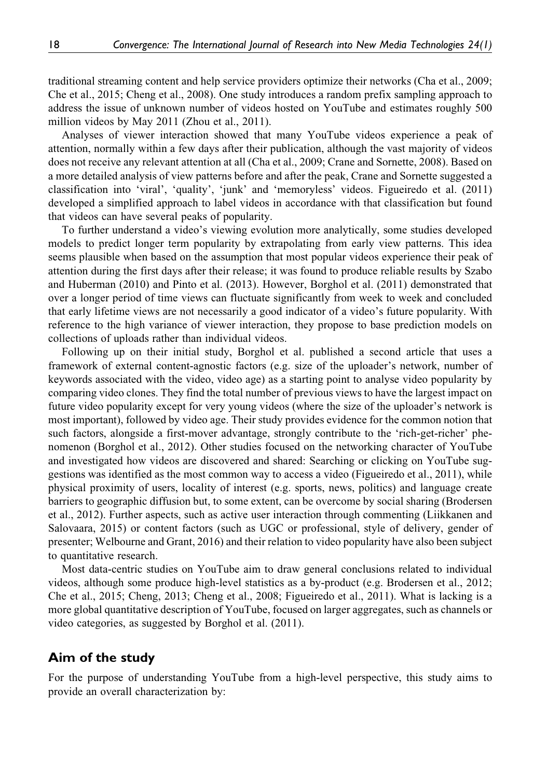traditional streaming content and help service providers optimize their networks (Cha et al., 2009; Che et al., 2015; Cheng et al., 2008). One study introduces a random prefix sampling approach to address the issue of unknown number of videos hosted on YouTube and estimates roughly 500 million videos by May 2011 (Zhou et al., 2011).

Analyses of viewer interaction showed that many YouTube videos experience a peak of attention, normally within a few days after their publication, although the vast majority of videos does not receive any relevant attention at all (Cha et al., 2009; Crane and Sornette, 2008). Based on a more detailed analysis of view patterns before and after the peak, Crane and Sornette suggested a classification into 'viral', 'quality', 'junk' and 'memoryless' videos. Figueiredo et al. (2011) developed a simplified approach to label videos in accordance with that classification but found that videos can have several peaks of popularity.

To further understand a video's viewing evolution more analytically, some studies developed models to predict longer term popularity by extrapolating from early view patterns. This idea seems plausible when based on the assumption that most popular videos experience their peak of attention during the first days after their release; it was found to produce reliable results by Szabo and Huberman (2010) and Pinto et al. (2013). However, Borghol et al. (2011) demonstrated that over a longer period of time views can fluctuate significantly from week to week and concluded that early lifetime views are not necessarily a good indicator of a video's future popularity. With reference to the high variance of viewer interaction, they propose to base prediction models on collections of uploads rather than individual videos.

Following up on their initial study, Borghol et al. published a second article that uses a framework of external content-agnostic factors (e.g. size of the uploader's network, number of keywords associated with the video, video age) as a starting point to analyse video popularity by comparing video clones. They find the total number of previous views to have the largest impact on future video popularity except for very young videos (where the size of the uploader's network is most important), followed by video age. Their study provides evidence for the common notion that such factors, alongside a first-mover advantage, strongly contribute to the 'rich-get-richer' phenomenon (Borghol et al., 2012). Other studies focused on the networking character of YouTube and investigated how videos are discovered and shared: Searching or clicking on YouTube suggestions was identified as the most common way to access a video (Figueiredo et al., 2011), while physical proximity of users, locality of interest (e.g. sports, news, politics) and language create barriers to geographic diffusion but, to some extent, can be overcome by social sharing (Brodersen et al., 2012). Further aspects, such as active user interaction through commenting (Liikkanen and Salovaara, 2015) or content factors (such as UGC or professional, style of delivery, gender of presenter; Welbourne and Grant, 2016) and their relation to video popularity have also been subject to quantitative research.

Most data-centric studies on YouTube aim to draw general conclusions related to individual videos, although some produce high-level statistics as a by-product (e.g. Brodersen et al., 2012; Che et al., 2015; Cheng, 2013; Cheng et al., 2008; Figueiredo et al., 2011). What is lacking is a more global quantitative description of YouTube, focused on larger aggregates, such as channels or video categories, as suggested by Borghol et al. (2011).

## Aim of the study

For the purpose of understanding YouTube from a high-level perspective, this study aims to provide an overall characterization by: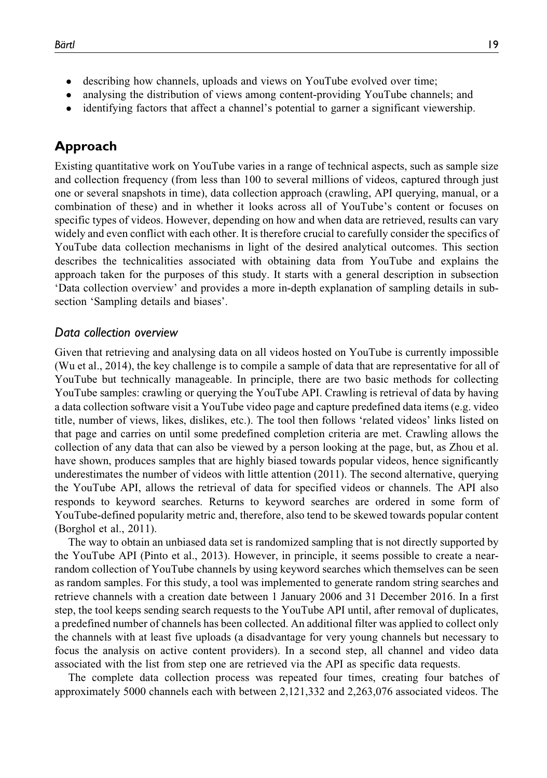- describing how channels, uploads and views on YouTube evolved over time;
- analysing the distribution of views among content-providing YouTube channels; and
- $\bullet$ identifying factors that affect a channel's potential to garner a significant viewership.

## Approach

Existing quantitative work on YouTube varies in a range of technical aspects, such as sample size and collection frequency (from less than 100 to several millions of videos, captured through just one or several snapshots in time), data collection approach (crawling, API querying, manual, or a combination of these) and in whether it looks across all of YouTube's content or focuses on specific types of videos. However, depending on how and when data are retrieved, results can vary widely and even conflict with each other. It is therefore crucial to carefully consider the specifics of YouTube data collection mechanisms in light of the desired analytical outcomes. This section describes the technicalities associated with obtaining data from YouTube and explains the approach taken for the purposes of this study. It starts with a general description in subsection 'Data collection overview' and provides a more in-depth explanation of sampling details in subsection 'Sampling details and biases'.

#### Data collection overview

Given that retrieving and analysing data on all videos hosted on YouTube is currently impossible (Wu et al., 2014), the key challenge is to compile a sample of data that are representative for all of YouTube but technically manageable. In principle, there are two basic methods for collecting YouTube samples: crawling or querying the YouTube API. Crawling is retrieval of data by having a data collection software visit a YouTube video page and capture predefined data items (e.g. video title, number of views, likes, dislikes, etc.). The tool then follows 'related videos' links listed on that page and carries on until some predefined completion criteria are met. Crawling allows the collection of any data that can also be viewed by a person looking at the page, but, as Zhou et al. have shown, produces samples that are highly biased towards popular videos, hence significantly underestimates the number of videos with little attention (2011). The second alternative, querying the YouTube API, allows the retrieval of data for specified videos or channels. The API also responds to keyword searches. Returns to keyword searches are ordered in some form of YouTube-defined popularity metric and, therefore, also tend to be skewed towards popular content (Borghol et al., 2011).

The way to obtain an unbiased data set is randomized sampling that is not directly supported by the YouTube API (Pinto et al., 2013). However, in principle, it seems possible to create a nearrandom collection of YouTube channels by using keyword searches which themselves can be seen as random samples. For this study, a tool was implemented to generate random string searches and retrieve channels with a creation date between 1 January 2006 and 31 December 2016. In a first step, the tool keeps sending search requests to the YouTube API until, after removal of duplicates, a predefined number of channels has been collected. An additional filter was applied to collect only the channels with at least five uploads (a disadvantage for very young channels but necessary to focus the analysis on active content providers). In a second step, all channel and video data associated with the list from step one are retrieved via the API as specific data requests.

The complete data collection process was repeated four times, creating four batches of approximately 5000 channels each with between 2,121,332 and 2,263,076 associated videos. The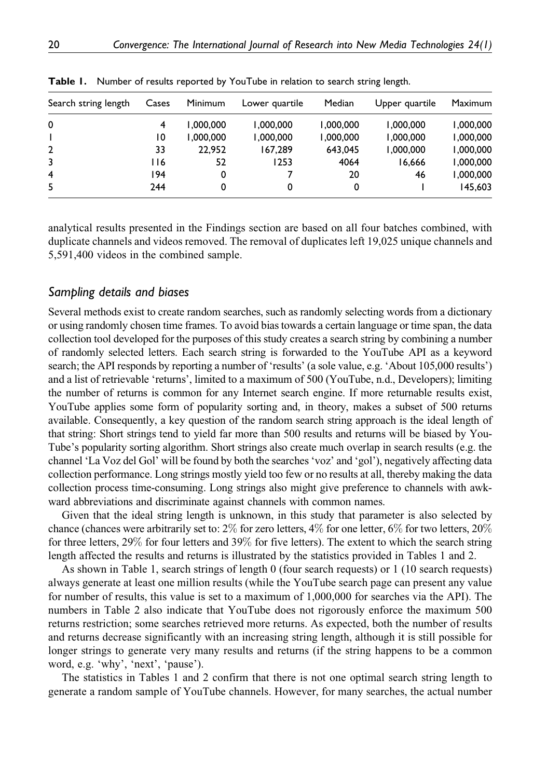| Search string length | Cases | <b>Minimum</b> | Lower guartile | Median    | Upper quartile | Maximum   |
|----------------------|-------|----------------|----------------|-----------|----------------|-----------|
| 0                    |       | 1.000.000      | 1.000.000      | 1,000,000 | 1,000,000      | 1,000,000 |
|                      | 10    | 1.000.000      | 000,000,1      | 1,000,000 | 1.000.000      | 1,000,000 |
| $\overline{2}$       | 33    | 22,952         | 167,289        | 643.045   | 1,000,000      | 1,000,000 |
| 3                    | 116   | 52             | 1253           | 4064      | 16,666         | 1,000,000 |
| 4                    | 194   | 0              |                | 20        | 46             | 000,000,1 |
| 5                    | 244   | 0              | 0              | 0         |                | 145.603   |

Table 1. Number of results reported by YouTube in relation to search string length.

analytical results presented in the Findings section are based on all four batches combined, with duplicate channels and videos removed. The removal of duplicates left 19,025 unique channels and 5,591,400 videos in the combined sample.

#### Sampling details and biases

Several methods exist to create random searches, such as randomly selecting words from a dictionary or using randomly chosen time frames. To avoid bias towards a certain language or time span, the data collection tool developed for the purposes of this study creates a search string by combining a number of randomly selected letters. Each search string is forwarded to the YouTube API as a keyword search; the API responds by reporting a number of 'results' (a sole value, e.g. 'About 105,000 results') and a list of retrievable 'returns', limited to a maximum of 500 (YouTube, n.d., Developers); limiting the number of returns is common for any Internet search engine. If more returnable results exist, YouTube applies some form of popularity sorting and, in theory, makes a subset of 500 returns available. Consequently, a key question of the random search string approach is the ideal length of that string: Short strings tend to yield far more than 500 results and returns will be biased by You-Tube's popularity sorting algorithm. Short strings also create much overlap in search results (e.g. the channel 'La Voz del Gol' will be found by both the searches 'voz' and 'gol'), negatively affecting data collection performance. Long strings mostly yield too few or no results at all, thereby making the data collection process time-consuming. Long strings also might give preference to channels with awkward abbreviations and discriminate against channels with common names.

Given that the ideal string length is unknown, in this study that parameter is also selected by chance (chances were arbitrarily set to: 2% for zero letters, 4% for one letter, 6% for two letters, 20% for three letters, 29% for four letters and 39% for five letters). The extent to which the search string length affected the results and returns is illustrated by the statistics provided in Tables 1 and 2.

As shown in Table 1, search strings of length 0 (four search requests) or 1 (10 search requests) always generate at least one million results (while the YouTube search page can present any value for number of results, this value is set to a maximum of 1,000,000 for searches via the API). The numbers in Table 2 also indicate that YouTube does not rigorously enforce the maximum 500 returns restriction; some searches retrieved more returns. As expected, both the number of results and returns decrease significantly with an increasing string length, although it is still possible for longer strings to generate very many results and returns (if the string happens to be a common word, e.g. 'why', 'next', 'pause').

The statistics in Tables 1 and 2 confirm that there is not one optimal search string length to generate a random sample of YouTube channels. However, for many searches, the actual number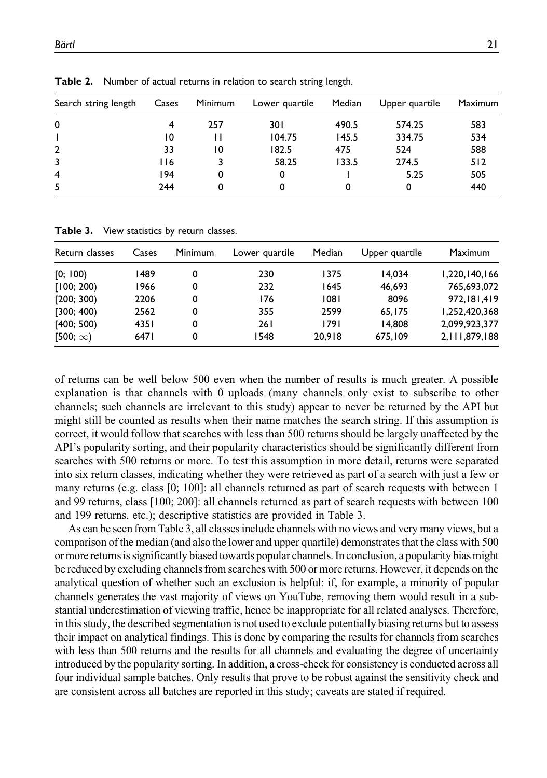| Search string length | Cases | Minimum | Lower quartile | Median | Upper quartile | Maximum |
|----------------------|-------|---------|----------------|--------|----------------|---------|
| 0                    |       | 257     | 30 I           | 490.5  | 574.25         | 583     |
|                      | 10    |         | 104.75         | 145.5  | 334.75         | 534     |
| $\overline{2}$       | 33    | 10      | 182.5          | 475    | 524            | 588     |
| 3                    | 116   |         | 58.25          | 133.5  | 274.5          | 512     |
| $\overline{4}$       | 194   | 0       | 0              |        | 5.25           | 505     |
| 5                    | 244   |         | 0              |        | 0              | 440     |

Table 2. Number of actual returns in relation to search string length.

| -<br>3                                      | --<br><b>116</b> |         | . .<br>$-1$<br>58.25 | .<br>133.5 | ---<br>274.5   | <br>512        |
|---------------------------------------------|------------------|---------|----------------------|------------|----------------|----------------|
| 4                                           | 194              |         | 0<br>0               |            | 5.25           | 505            |
| 5                                           | 244              | 0       | 0                    | 0          | 0              | 440            |
|                                             |                  |         |                      |            |                |                |
| Table 3. View statistics by return classes. |                  |         |                      |            |                |                |
| Return classes                              | Cases            | Minimum | Lower quartile       | Median     | Upper quartile | <b>Maximum</b> |
| [0; 100)                                    | 1489             | 0       | 230                  | 1375       | 14.034         | 1,220,140,166  |

[100; 200) 1966 0 232 1645 46,693 765,693,072 [200; 300) 2206 0 176 1081 8096 972,181,419 [300; 400) 2562 0 355 2599 65,175 1,252,420,368 [400; 500) 4351 0 261 1791 14,808 2,099,923,377  $[500;\infty)$  6471 0 1548 20,918 675,109 2,111,879,188

As can be seen from Table 3, all classes include channels with no views and very many views, but a comparison of the median (and also the lower and upper quartile) demonstrates that the class with 500 or more returns is significantly biasedtowards popular channels. In conclusion, a popularity bias might be reduced by excluding channels from searches with 500 or more returns. However, it depends on the analytical question of whether such an exclusion is helpful: if, for example, a minority of popular channels generates the vast majority of views on YouTube, removing them would result in a substantial underestimation of viewing traffic, hence be inappropriate for all related analyses. Therefore, in this study, the described segmentation is not used to exclude potentially biasing returns but to assess their impact on analytical findings. This is done by comparing the results for channels from searches with less than 500 returns and the results for all channels and evaluating the degree of uncertainty introduced by the popularity sorting. In addition, a cross-check for consistency is conducted across all four individual sample batches. Only results that prove to be robust against the sensitivity check and are consistent across all batches are reported in this study; caveats are stated if required.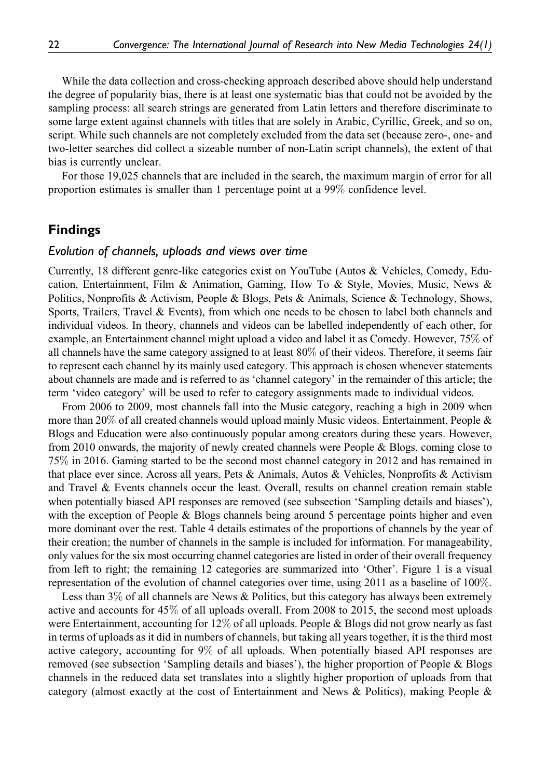While the data collection and cross-checking approach described above should help understand the degree of popularity bias, there is at least one systematic bias that could not be avoided by the sampling process: all search strings are generated from Latin letters and therefore discriminate to some large extent against channels with titles that are solely in Arabic, Cyrillic, Greek, and so on, script. While such channels are not completely excluded from the data set (because zero-, one- and two-letter searches did collect a sizeable number of non-Latin script channels), the extent of that bias is currently unclear.

For those 19,025 channels that are included in the search, the maximum margin of error for all proportion estimates is smaller than 1 percentage point at a 99% confidence level.

### Findings

#### Evolution of channels, uploads and views over time

Currently, 18 different genre-like categories exist on YouTube (Autos & Vehicles, Comedy, Education, Entertainment, Film & Animation, Gaming, How To & Style, Movies, Music, News & Politics, Nonprofits & Activism, People & Blogs, Pets & Animals, Science & Technology, Shows, Sports, Trailers, Travel & Events), from which one needs to be chosen to label both channels and individual videos. In theory, channels and videos can be labelled independently of each other, for example, an Entertainment channel might upload a video and label it as Comedy. However, 75% of all channels have the same category assigned to at least 80% of their videos. Therefore, it seems fair to represent each channel by its mainly used category. This approach is chosen whenever statements about channels are made and is referred to as 'channel category' in the remainder of this article; the term 'video category' will be used to refer to category assignments made to individual videos.

From 2006 to 2009, most channels fall into the Music category, reaching a high in 2009 when more than 20% of all created channels would upload mainly Music videos. Entertainment, People  $\&$ Blogs and Education were also continuously popular among creators during these years. However, from 2010 onwards, the majority of newly created channels were People & Blogs, coming close to 75% in 2016. Gaming started to be the second most channel category in 2012 and has remained in that place ever since. Across all years, Pets & Animals, Autos & Vehicles, Nonprofits & Activism and Travel & Events channels occur the least. Overall, results on channel creation remain stable when potentially biased API responses are removed (see subsection 'Sampling details and biases'), with the exception of People & Blogs channels being around 5 percentage points higher and even more dominant over the rest. Table 4 details estimates of the proportions of channels by the year of their creation; the number of channels in the sample is included for information. For manageability, only values for the six most occurring channel categories are listed in order of their overall frequency from left to right; the remaining 12 categories are summarized into 'Other'. Figure 1 is a visual representation of the evolution of channel categories over time, using 2011 as a baseline of 100%.

Less than  $3\%$  of all channels are News & Politics, but this category has always been extremely active and accounts for 45% of all uploads overall. From 2008 to 2015, the second most uploads were Entertainment, accounting for 12% of all uploads. People & Blogs did not grow nearly as fast in terms of uploads as it did in numbers of channels, but taking all years together, it is the third most active category, accounting for 9% of all uploads. When potentially biased API responses are removed (see subsection 'Sampling details and biases'), the higher proportion of People & Blogs channels in the reduced data set translates into a slightly higher proportion of uploads from that category (almost exactly at the cost of Entertainment and News & Politics), making People &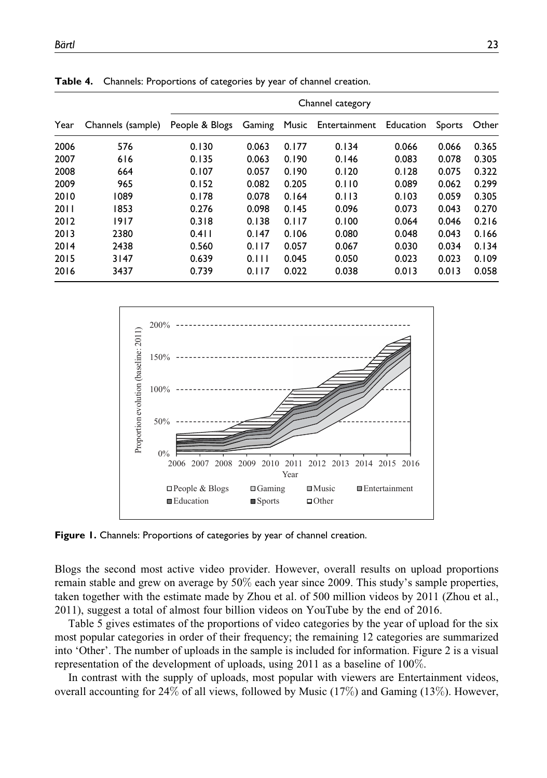|      |                   | Channel category |        |       |                     |           |        |       |  |
|------|-------------------|------------------|--------|-------|---------------------|-----------|--------|-------|--|
| Year | Channels (sample) | People & Blogs   | Gaming |       | Music Entertainment | Education | Sports | Other |  |
| 2006 | 576               | 0.130            | 0.063  | 0.177 | 0.134               | 0.066     | 0.066  | 0.365 |  |
| 2007 | 616               | 0.135            | 0.063  | 0.190 | 0.146               | 0.083     | 0.078  | 0.305 |  |
| 2008 | 664               | 0.107            | 0.057  | 0.190 | 0.120               | 0.128     | 0.075  | 0.322 |  |
| 2009 | 965               | 0.152            | 0.082  | 0.205 | 0.110               | 0.089     | 0.062  | 0.299 |  |
| 2010 | 1089              | 0.178            | 0.078  | 0.164 | 0.113               | 0.103     | 0.059  | 0.305 |  |
| 2011 | 1853              | 0.276            | 0.098  | 0.145 | 0.096               | 0.073     | 0.043  | 0.270 |  |
| 2012 | 1917              | 0.318            | 0.138  | 0.117 | 0.100               | 0.064     | 0.046  | 0.216 |  |
| 2013 | 2380              | 0.411            | 0.147  | 0.106 | 0.080               | 0.048     | 0.043  | 0.166 |  |
| 2014 | 2438              | 0.560            | 0.117  | 0.057 | 0.067               | 0.030     | 0.034  | 0.134 |  |
| 2015 | 3147              | 0.639            | 0.111  | 0.045 | 0.050               | 0.023     | 0.023  | 0.109 |  |
| 2016 | 3437              | 0.739            | 0.117  | 0.022 | 0.038               | 0.013     | 0.013  | 0.058 |  |

Table 4. Channels: Proportions of categories by year of channel creation.



Figure 1. Channels: Proportions of categories by year of channel creation.

Blogs the second most active video provider. However, overall results on upload proportions remain stable and grew on average by 50% each year since 2009. This study's sample properties, taken together with the estimate made by Zhou et al. of 500 million videos by 2011 (Zhou et al., 2011), suggest a total of almost four billion videos on YouTube by the end of 2016.

Table 5 gives estimates of the proportions of video categories by the year of upload for the six most popular categories in order of their frequency; the remaining 12 categories are summarized into 'Other'. The number of uploads in the sample is included for information. Figure 2 is a visual representation of the development of uploads, using 2011 as a baseline of 100%.

In contrast with the supply of uploads, most popular with viewers are Entertainment videos, overall accounting for 24% of all views, followed by Music (17%) and Gaming (13%). However,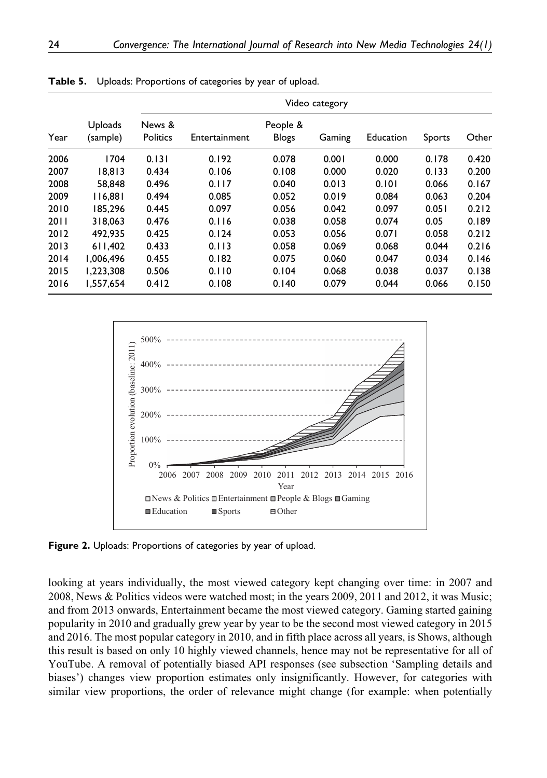|      |                            | Video category            |               |                   |        |           |        |       |  |  |
|------|----------------------------|---------------------------|---------------|-------------------|--------|-----------|--------|-------|--|--|
| Year | <b>Uploads</b><br>(sample) | News &<br><b>Politics</b> | Entertainment | People &<br>Blogs | Gaming | Education | Sports | Other |  |  |
| 2006 | 1704                       | 0.131                     | 0.192         | 0.078             | 0.001  | 0.000     | 0.178  | 0.420 |  |  |
| 2007 | 18.813                     | 0.434                     | 0.106         | 0.108             | 0.000  | 0.020     | 0.133  | 0.200 |  |  |
| 2008 | 58,848                     | 0.496                     | 0.117         | 0.040             | 0.013  | 0.101     | 0.066  | 0.167 |  |  |
| 2009 | 116,881                    | 0.494                     | 0.085         | 0.052             | 0.019  | 0.084     | 0.063  | 0.204 |  |  |
| 2010 | 185.296                    | 0.445                     | 0.097         | 0.056             | 0.042  | 0.097     | 0.051  | 0.212 |  |  |
| 2011 | 318,063                    | 0.476                     | 0.116         | 0.038             | 0.058  | 0.074     | 0.05   | 0.189 |  |  |
| 2012 | 492.935                    | 0.425                     | 0.124         | 0.053             | 0.056  | 0.071     | 0.058  | 0.212 |  |  |
| 2013 | 611.402                    | 0.433                     | 0.113         | 0.058             | 0.069  | 0.068     | 0.044  | 0.216 |  |  |
| 2014 | 1.006.496                  | 0.455                     | 0.182         | 0.075             | 0.060  | 0.047     | 0.034  | 0.146 |  |  |
| 2015 | 1.223.308                  | 0.506                     | 0.110         | 0.104             | 0.068  | 0.038     | 0.037  | 0.138 |  |  |
| 2016 | 1,557,654                  | 0.412                     | 0.108         | 0.140             | 0.079  | 0.044     | 0.066  | 0.150 |  |  |

Table 5. Uploads: Proportions of categories by year of upload.



Figure 2. Uploads: Proportions of categories by year of upload.

looking at years individually, the most viewed category kept changing over time: in 2007 and 2008, News & Politics videos were watched most; in the years 2009, 2011 and 2012, it was Music; and from 2013 onwards, Entertainment became the most viewed category. Gaming started gaining popularity in 2010 and gradually grew year by year to be the second most viewed category in 2015 and 2016. The most popular category in 2010, and in fifth place across all years, is Shows, although this result is based on only 10 highly viewed channels, hence may not be representative for all of YouTube. A removal of potentially biased API responses (see subsection 'Sampling details and biases') changes view proportion estimates only insignificantly. However, for categories with similar view proportions, the order of relevance might change (for example: when potentially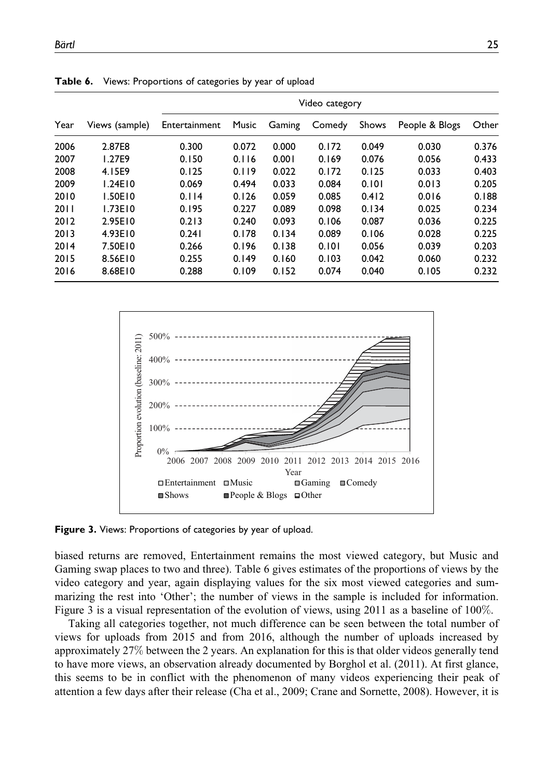|      |                | Video category |       |        |        |       |                |       |  |
|------|----------------|----------------|-------|--------|--------|-------|----------------|-------|--|
| Year | Views (sample) | Entertainment  | Music | Gaming | Comedy | Shows | People & Blogs | Other |  |
| 2006 | 2.87E8         | 0.300          | 0.072 | 0.000  | 0.172  | 0.049 | 0.030          | 0.376 |  |
| 2007 | <b>1.27E9</b>  | 0.150          | 0.116 | 0.001  | 0.169  | 0.076 | 0.056          | 0.433 |  |
| 2008 | 4.15E9         | 0.125          | 0.119 | 0.022  | 0.172  | 0.125 | 0.033          | 0.403 |  |
| 2009 | L.24E10        | 0.069          | 0.494 | 0.033  | 0.084  | 0.101 | 0.013          | 0.205 |  |
| 2010 | <b>I.50E10</b> | 0.114          | 0.126 | 0.059  | 0.085  | 0.412 | 0.016          | 0.188 |  |
| 2011 | <b>I.73E10</b> | 0.195          | 0.227 | 0.089  | 0.098  | 0.134 | 0.025          | 0.234 |  |
| 2012 | 2.95E10        | 0.213          | 0.240 | 0.093  | 0.106  | 0.087 | 0.036          | 0.225 |  |
| 2013 | 4.93E10        | 0.241          | 0.178 | 0.134  | 0.089  | 0.106 | 0.028          | 0.225 |  |
| 2014 | 7.50E10        | 0.266          | 0.196 | 0.138  | 0.101  | 0.056 | 0.039          | 0.203 |  |
| 2015 | 8.56E10        | 0.255          | 0.149 | 0.160  | 0.103  | 0.042 | 0.060          | 0.232 |  |
| 2016 | 8.68E10        | 0.288          | 0.109 | 0.152  | 0.074  | 0.040 | 0.105          | 0.232 |  |

Table 6. Views: Proportions of categories by year of upload



Figure 3. Views: Proportions of categories by year of upload.

biased returns are removed, Entertainment remains the most viewed category, but Music and Gaming swap places to two and three). Table 6 gives estimates of the proportions of views by the video category and year, again displaying values for the six most viewed categories and summarizing the rest into 'Other'; the number of views in the sample is included for information. Figure 3 is a visual representation of the evolution of views, using 2011 as a baseline of 100%.

Taking all categories together, not much difference can be seen between the total number of views for uploads from 2015 and from 2016, although the number of uploads increased by approximately 27% between the 2 years. An explanation for this is that older videos generally tend to have more views, an observation already documented by Borghol et al. (2011). At first glance, this seems to be in conflict with the phenomenon of many videos experiencing their peak of attention a few days after their release (Cha et al., 2009; Crane and Sornette, 2008). However, it is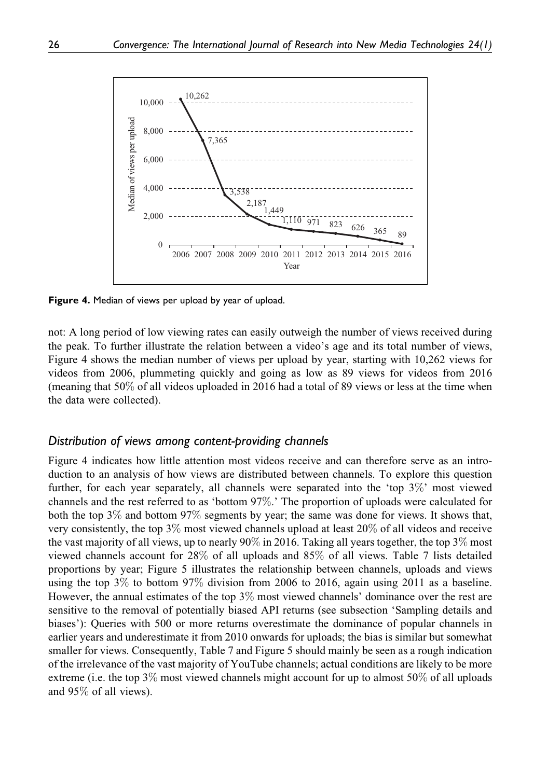

Figure 4. Median of views per upload by year of upload.

not: A long period of low viewing rates can easily outweigh the number of views received during the peak. To further illustrate the relation between a video's age and its total number of views, Figure 4 shows the median number of views per upload by year, starting with 10,262 views for videos from 2006, plummeting quickly and going as low as 89 views for videos from 2016 (meaning that 50% of all videos uploaded in 2016 had a total of 89 views or less at the time when the data were collected).

## Distribution of views among content-providing channels

Figure 4 indicates how little attention most videos receive and can therefore serve as an introduction to an analysis of how views are distributed between channels. To explore this question further, for each year separately, all channels were separated into the 'top 3%' most viewed channels and the rest referred to as 'bottom 97%.' The proportion of uploads were calculated for both the top 3% and bottom 97% segments by year; the same was done for views. It shows that, very consistently, the top 3% most viewed channels upload at least 20% of all videos and receive the vast majority of all views, up to nearly 90% in 2016. Taking all years together, the top 3% most viewed channels account for 28% of all uploads and 85% of all views. Table 7 lists detailed proportions by year; Figure 5 illustrates the relationship between channels, uploads and views using the top 3% to bottom 97% division from 2006 to 2016, again using 2011 as a baseline. However, the annual estimates of the top 3% most viewed channels' dominance over the rest are sensitive to the removal of potentially biased API returns (see subsection 'Sampling details and biases'): Queries with 500 or more returns overestimate the dominance of popular channels in earlier years and underestimate it from 2010 onwards for uploads; the bias is similar but somewhat smaller for views. Consequently, Table 7 and Figure 5 should mainly be seen as a rough indication of the irrelevance of the vast majority of YouTube channels; actual conditions are likely to be more extreme (i.e. the top 3% most viewed channels might account for up to almost 50% of all uploads and 95% of all views).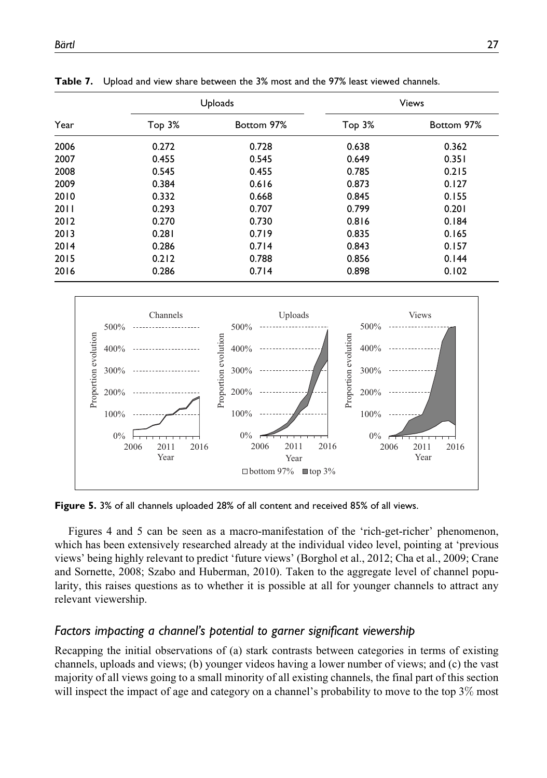|      |                   | <b>Uploads</b> | Views  |            |  |
|------|-------------------|----------------|--------|------------|--|
| Year | Top <sub>3%</sub> | Bottom 97%     | Top 3% | Bottom 97% |  |
| 2006 | 0.272             | 0.728          | 0.638  | 0.362      |  |
| 2007 | 0.455             | 0.545          | 0.649  | 0.351      |  |
| 2008 | 0.545             | 0.455          | 0.785  | 0.215      |  |
| 2009 | 0.384             | 0.616          | 0.873  | 0.127      |  |
| 2010 | 0.332             | 0.668          | 0.845  | 0.155      |  |
| 2011 | 0.293             | 0.707          | 0.799  | 0.201      |  |
| 2012 | 0.270             | 0.730          | 0.816  | 0.184      |  |
| 2013 | 0.281             | 0.719          | 0.835  | 0.165      |  |
| 2014 | 0.286             | 0.714          | 0.843  | 0.157      |  |
| 2015 | 0.212             | 0.788          | 0.856  | 0.144      |  |
| 2016 | 0.286             | 0.714          | 0.898  | 0.102      |  |

Table 7. Upload and view share between the 3% most and the 97% least viewed channels.



Figure 5. 3% of all channels uploaded 28% of all content and received 85% of all views.

Figures 4 and 5 can be seen as a macro-manifestation of the 'rich-get-richer' phenomenon, which has been extensively researched already at the individual video level, pointing at 'previous views' being highly relevant to predict 'future views' (Borghol et al., 2012; Cha et al., 2009; Crane and Sornette, 2008; Szabo and Huberman, 2010). Taken to the aggregate level of channel popularity, this raises questions as to whether it is possible at all for younger channels to attract any relevant viewership.

## Factors impacting a channel's potential to garner significant viewership

Recapping the initial observations of (a) stark contrasts between categories in terms of existing channels, uploads and views; (b) younger videos having a lower number of views; and (c) the vast majority of all views going to a small minority of all existing channels, the final part of this section will inspect the impact of age and category on a channel's probability to move to the top 3\% most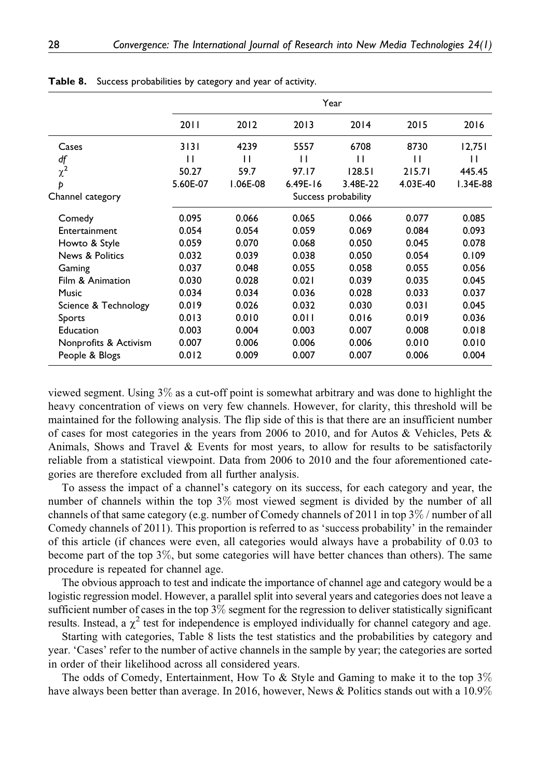|                            | Year     |              |              |                     |          |              |  |
|----------------------------|----------|--------------|--------------|---------------------|----------|--------------|--|
|                            | 2011     | 2012         | 2013         | 2014                | 2015     | 2016         |  |
| Cases                      | 3131     | 4239         | 5557         | 6708                | 8730     | 12,751       |  |
|                            | П        | $\mathsf{L}$ | $\mathbf{I}$ | $\mathsf{I}$        | П        | $\mathsf{L}$ |  |
| $\frac{df}{\chi^2}$        | 50.27    | 59.7         | 97.17        | 128.51              | 215.71   | 445.45       |  |
| Þ                          | 5.60E-07 | I.06E-08     | 6.49E-16     | 3.48E-22            | 4.03E-40 | I.34E-88     |  |
| Channel category           |          |              |              | Success probability |          |              |  |
| Comedy                     | 0.095    | 0.066        | 0.065        | 0.066               | 0.077    | 0.085        |  |
| Entertainment              | 0.054    | 0.054        | 0.059        | 0.069               | 0.084    | 0.093        |  |
| Howto & Style              | 0.059    | 0.070        | 0.068        | 0.050               | 0.045    | 0.078        |  |
| <b>News &amp; Politics</b> | 0.032    | 0.039        | 0.038        | 0.050               | 0.054    | 0.109        |  |
| Gaming                     | 0.037    | 0.048        | 0.055        | 0.058               | 0.055    | 0.056        |  |
| Film & Animation           | 0.030    | 0.028        | 0.021        | 0.039               | 0.035    | 0.045        |  |
| Music                      | 0.034    | 0.034        | 0.036        | 0.028               | 0.033    | 0.037        |  |
| Science & Technology       | 0.019    | 0.026        | 0.032        | 0.030               | 0.031    | 0.045        |  |
| Sports                     | 0.013    | 0.010        | 0.011        | 0.016               | 0.019    | 0.036        |  |
| Education                  | 0.003    | 0.004        | 0.003        | 0.007               | 0.008    | 0.018        |  |
| Nonprofits & Activism      | 0.007    | 0.006        | 0.006        | 0.006               | 0.010    | 0.010        |  |
| People & Blogs             | 0.012    | 0.009        | 0.007        | 0.007               | 0.006    | 0.004        |  |

Table 8. Success probabilities by category and year of activity.

viewed segment. Using 3% as a cut-off point is somewhat arbitrary and was done to highlight the heavy concentration of views on very few channels. However, for clarity, this threshold will be maintained for the following analysis. The flip side of this is that there are an insufficient number of cases for most categories in the years from 2006 to 2010, and for Autos & Vehicles, Pets & Animals, Shows and Travel & Events for most years, to allow for results to be satisfactorily reliable from a statistical viewpoint. Data from 2006 to 2010 and the four aforementioned categories are therefore excluded from all further analysis.

To assess the impact of a channel's category on its success, for each category and year, the number of channels within the top 3% most viewed segment is divided by the number of all channels of that same category (e.g. number of Comedy channels of 2011 in top 3% / number of all Comedy channels of 2011). This proportion is referred to as 'success probability' in the remainder of this article (if chances were even, all categories would always have a probability of 0.03 to become part of the top 3%, but some categories will have better chances than others). The same procedure is repeated for channel age.

The obvious approach to test and indicate the importance of channel age and category would be a logistic regression model. However, a parallel split into several years and categories does not leave a sufficient number of cases in the top 3% segment for the regression to deliver statistically significant results. Instead, a  $\chi^2$  test for independence is employed individually for channel category and age.

Starting with categories, Table 8 lists the test statistics and the probabilities by category and year. 'Cases' refer to the number of active channels in the sample by year; the categories are sorted in order of their likelihood across all considered years.

The odds of Comedy, Entertainment, How To & Style and Gaming to make it to the top  $3\%$ have always been better than average. In 2016, however, News & Politics stands out with a 10.9%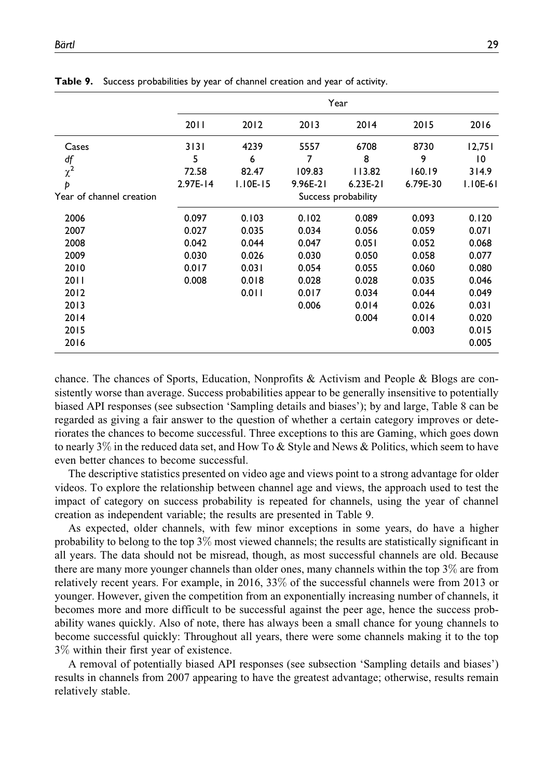|                          | Year       |            |          |                     |          |          |  |  |
|--------------------------|------------|------------|----------|---------------------|----------|----------|--|--|
|                          | 2011       | 2012       | 2013     | 2014                | 2015     | 2016     |  |  |
| Cases                    | 3131       | 4239       | 5557     | 6708                | 8730     | 12,751   |  |  |
|                          | 5          | 6          | 7        | 8                   | 9        | 10       |  |  |
| $\frac{df}{\chi^2}$      | 72.58      | 82.47      | 109.83   | 113.82              | 160.19   | 314.9    |  |  |
| Þ                        | $2.97E-14$ | $1.10E-15$ | 9.96E-21 | $6.23E-21$          | 6.79E-30 | I.I0E-61 |  |  |
| Year of channel creation |            |            |          | Success probability |          |          |  |  |
| 2006                     | 0.097      | 0.103      | 0.102    | 0.089               | 0.093    | 0.120    |  |  |
| 2007                     | 0.027      | 0.035      | 0.034    | 0.056               | 0.059    | 0.071    |  |  |
| 2008                     | 0.042      | 0.044      | 0.047    | 0.051               | 0.052    | 0.068    |  |  |
| 2009                     | 0.030      | 0.026      | 0.030    | 0.050               | 0.058    | 0.077    |  |  |
| 2010                     | 0.017      | 0.031      | 0.054    | 0.055               | 0.060    | 0.080    |  |  |
| 2011                     | 0.008      | 0.018      | 0.028    | 0.028               | 0.035    | 0.046    |  |  |
| 2012                     |            | 0.011      | 0.017    | 0.034               | 0.044    | 0.049    |  |  |
| 2013                     |            |            | 0.006    | 0.014               | 0.026    | 0.031    |  |  |
| 2014                     |            |            |          | 0.004               | 0.014    | 0.020    |  |  |
| 2015                     |            |            |          |                     | 0.003    | 0.015    |  |  |
| 2016                     |            |            |          |                     |          | 0.005    |  |  |

Table 9. Success probabilities by year of channel creation and year of activity.

chance. The chances of Sports, Education, Nonprofits & Activism and People & Blogs are consistently worse than average. Success probabilities appear to be generally insensitive to potentially biased API responses (see subsection 'Sampling details and biases'); by and large, Table 8 can be regarded as giving a fair answer to the question of whether a certain category improves or deteriorates the chances to become successful. Three exceptions to this are Gaming, which goes down to nearly 3% in the reduced data set, and How To & Style and News & Politics, which seem to have even better chances to become successful.

The descriptive statistics presented on video age and views point to a strong advantage for older videos. To explore the relationship between channel age and views, the approach used to test the impact of category on success probability is repeated for channels, using the year of channel creation as independent variable; the results are presented in Table 9.

As expected, older channels, with few minor exceptions in some years, do have a higher probability to belong to the top 3% most viewed channels; the results are statistically significant in all years. The data should not be misread, though, as most successful channels are old. Because there are many more younger channels than older ones, many channels within the top 3% are from relatively recent years. For example, in 2016, 33% of the successful channels were from 2013 or younger. However, given the competition from an exponentially increasing number of channels, it becomes more and more difficult to be successful against the peer age, hence the success probability wanes quickly. Also of note, there has always been a small chance for young channels to become successful quickly: Throughout all years, there were some channels making it to the top 3% within their first year of existence.

A removal of potentially biased API responses (see subsection 'Sampling details and biases') results in channels from 2007 appearing to have the greatest advantage; otherwise, results remain relatively stable.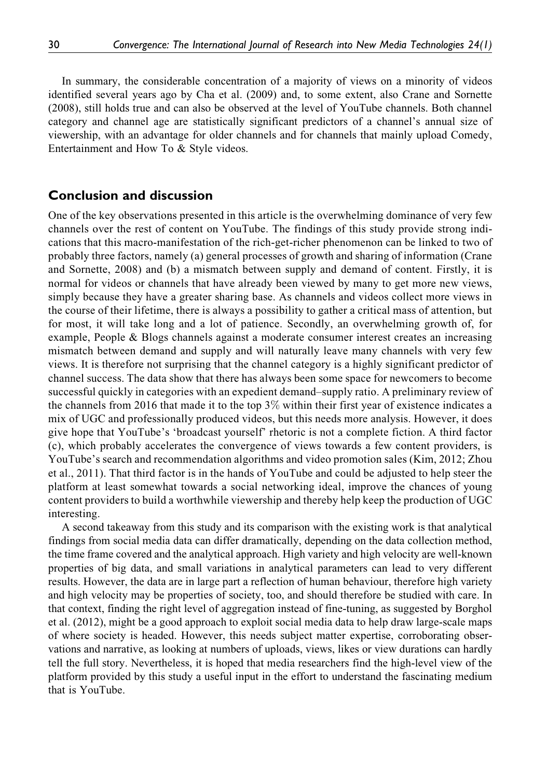In summary, the considerable concentration of a majority of views on a minority of videos identified several years ago by Cha et al. (2009) and, to some extent, also Crane and Sornette (2008), still holds true and can also be observed at the level of YouTube channels. Both channel category and channel age are statistically significant predictors of a channel's annual size of viewership, with an advantage for older channels and for channels that mainly upload Comedy, Entertainment and How To & Style videos.

## Conclusion and discussion

One of the key observations presented in this article is the overwhelming dominance of very few channels over the rest of content on YouTube. The findings of this study provide strong indications that this macro-manifestation of the rich-get-richer phenomenon can be linked to two of probably three factors, namely (a) general processes of growth and sharing of information (Crane and Sornette, 2008) and (b) a mismatch between supply and demand of content. Firstly, it is normal for videos or channels that have already been viewed by many to get more new views, simply because they have a greater sharing base. As channels and videos collect more views in the course of their lifetime, there is always a possibility to gather a critical mass of attention, but for most, it will take long and a lot of patience. Secondly, an overwhelming growth of, for example, People & Blogs channels against a moderate consumer interest creates an increasing mismatch between demand and supply and will naturally leave many channels with very few views. It is therefore not surprising that the channel category is a highly significant predictor of channel success. The data show that there has always been some space for newcomers to become successful quickly in categories with an expedient demand–supply ratio. A preliminary review of the channels from 2016 that made it to the top 3% within their first year of existence indicates a mix of UGC and professionally produced videos, but this needs more analysis. However, it does give hope that YouTube's 'broadcast yourself' rhetoric is not a complete fiction. A third factor (c), which probably accelerates the convergence of views towards a few content providers, is YouTube's search and recommendation algorithms and video promotion sales (Kim, 2012; Zhou et al., 2011). That third factor is in the hands of YouTube and could be adjusted to help steer the platform at least somewhat towards a social networking ideal, improve the chances of young content providers to build a worthwhile viewership and thereby help keep the production of UGC interesting.

A second takeaway from this study and its comparison with the existing work is that analytical findings from social media data can differ dramatically, depending on the data collection method, the time frame covered and the analytical approach. High variety and high velocity are well-known properties of big data, and small variations in analytical parameters can lead to very different results. However, the data are in large part a reflection of human behaviour, therefore high variety and high velocity may be properties of society, too, and should therefore be studied with care. In that context, finding the right level of aggregation instead of fine-tuning, as suggested by Borghol et al. (2012), might be a good approach to exploit social media data to help draw large-scale maps of where society is headed. However, this needs subject matter expertise, corroborating observations and narrative, as looking at numbers of uploads, views, likes or view durations can hardly tell the full story. Nevertheless, it is hoped that media researchers find the high-level view of the platform provided by this study a useful input in the effort to understand the fascinating medium that is YouTube.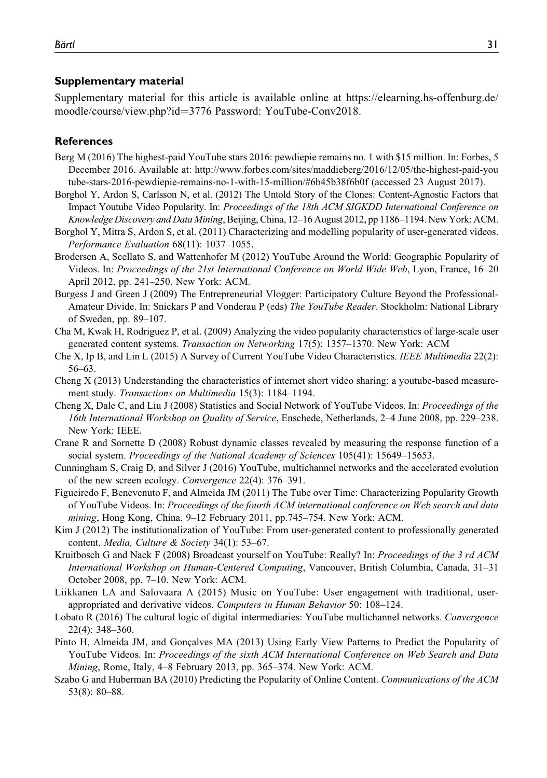#### Supplementary material

Supplementary material for this article is available online at [https://elearning.hs-offenburg.de/](https://elearning.hs-offenburg.de/moodle/course/view.php?id=3776) [moodle/course/view.php?id](https://elearning.hs-offenburg.de/moodle/course/view.php?id=3776)=[3776](https://elearning.hs-offenburg.de/moodle/course/view.php?id=3776) Password: YouTube-Conv2018.

#### **References**

- Berg M (2016) The highest-paid YouTube stars 2016: pewdiepie remains no. 1 with \$15 million. In: Forbes, 5 December 2016. Available at: [http://www.forbes.com/sites/maddieberg/2016/12/05/the-highest-paid-you](http://www.forbes.com/sites/maddieberg/2016/12/05/the-highest-paid-youtube-stars-2016-pewdiepie-remains-no-1-with-15-million/#6b45b38f6b0f) [tube-stars-2016-pewdiepie-remains-no-1-with-15-million/#6b45b38f6b0f](http://www.forbes.com/sites/maddieberg/2016/12/05/the-highest-paid-youtube-stars-2016-pewdiepie-remains-no-1-with-15-million/#6b45b38f6b0f) (accessed 23 August 2017).
- Borghol Y, Ardon S, Carlsson N, et al. (2012) The Untold Story of the Clones: Content-Agnostic Factors that Impact Youtube Video Popularity. In: Proceedings of the 18th ACM SIGKDD International Conference on Knowledge Discovery and Data Mining, Beijing, China, 12–16 August 2012, pp 1186–1194. New York: ACM.
- Borghol Y, Mitra S, Ardon S, et al. (2011) Characterizing and modelling popularity of user-generated videos. Performance Evaluation 68(11): 1037–1055.
- Brodersen A, Scellato S, and Wattenhofer M (2012) YouTube Around the World: Geographic Popularity of Videos. In: Proceedings of the 21st International Conference on World Wide Web, Lyon, France, 16–20 April 2012, pp. 241–250. New York: ACM.
- Burgess J and Green J (2009) The Entrepreneurial Vlogger: Participatory Culture Beyond the Professional-Amateur Divide. In: Snickars P and Vonderau P (eds) The YouTube Reader. Stockholm: National Library of Sweden, pp. 89–107.
- Cha M, Kwak H, Rodriguez P, et al. (2009) Analyzing the video popularity characteristics of large-scale user generated content systems. Transaction on Networking 17(5): 1357–1370. New York: ACM
- Che X, Ip B, and Lin L (2015) A Survey of Current YouTube Video Characteristics. IEEE Multimedia 22(2): 56–63.
- Cheng X (2013) Understanding the characteristics of internet short video sharing: a youtube-based measurement study. Transactions on Multimedia 15(3): 1184–1194.
- Cheng X, Dale C, and Liu J (2008) Statistics and Social Network of YouTube Videos. In: Proceedings of the 16th International Workshop on Quality of Service, Enschede, Netherlands, 2–4 June 2008, pp. 229–238. New York: IEEE.
- Crane R and Sornette D (2008) Robust dynamic classes revealed by measuring the response function of a social system. Proceedings of the National Academy of Sciences 105(41): 15649–15653.
- Cunningham S, Craig D, and Silver J (2016) YouTube, multichannel networks and the accelerated evolution of the new screen ecology. Convergence 22(4): 376–391.
- Figueiredo F, Benevenuto F, and Almeida JM (2011) The Tube over Time: Characterizing Popularity Growth of YouTube Videos. In: Proceedings of the fourth ACM international conference on Web search and data mining, Hong Kong, China, 9–12 February 2011, pp.745–754. New York: ACM.
- Kim J (2012) The institutionalization of YouTube: From user-generated content to professionally generated content. Media, Culture & Society 34(1): 53–67.
- Kruitbosch G and Nack F (2008) Broadcast yourself on YouTube: Really? In: Proceedings of the 3 rd ACM International Workshop on Human-Centered Computing, Vancouver, British Columbia, Canada, 31–31 October 2008, pp. 7–10. New York: ACM.
- Liikkanen LA and Salovaara A (2015) Music on YouTube: User engagement with traditional, userappropriated and derivative videos. Computers in Human Behavior 50: 108–124.
- Lobato R (2016) The cultural logic of digital intermediaries: YouTube multichannel networks. Convergence 22(4): 348–360.
- Pinto H, Almeida JM, and Goncalves MA (2013) Using Early View Patterns to Predict the Popularity of YouTube Videos. In: Proceedings of the sixth ACM International Conference on Web Search and Data Mining, Rome, Italy, 4–8 February 2013, pp. 365–374. New York: ACM.
- Szabo G and Huberman BA (2010) Predicting the Popularity of Online Content. Communications of the ACM 53(8): 80–88.